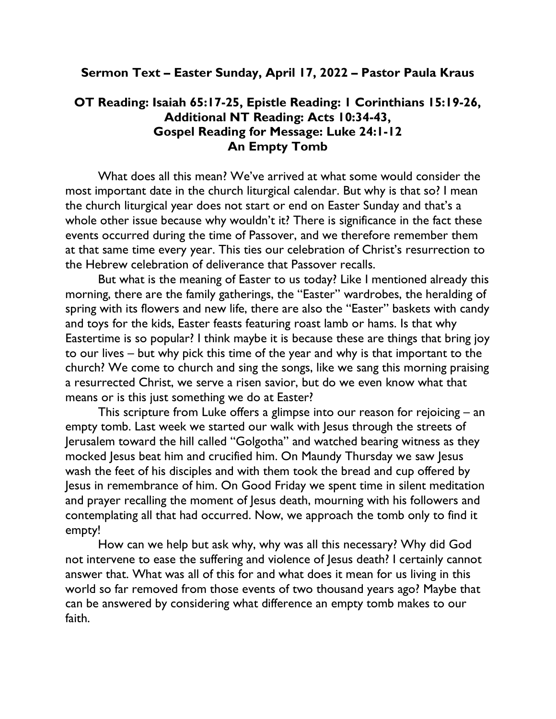## Sermon Text – Easter Sunday, April 17, 2022 – Pastor Paula Kraus

## OT Reading: Isaiah 65:17-25, Epistle Reading: 1 Corinthians 15:19-26, Additional NT Reading: Acts 10:34-43, Gospel Reading for Message: Luke 24:1-12 An Empty Tomb

What does all this mean? We've arrived at what some would consider the most important date in the church liturgical calendar. But why is that so? I mean the church liturgical year does not start or end on Easter Sunday and that's a whole other issue because why wouldn't it? There is significance in the fact these events occurred during the time of Passover, and we therefore remember them at that same time every year. This ties our celebration of Christ's resurrection to the Hebrew celebration of deliverance that Passover recalls.

But what is the meaning of Easter to us today? Like I mentioned already this morning, there are the family gatherings, the "Easter" wardrobes, the heralding of spring with its flowers and new life, there are also the "Easter" baskets with candy and toys for the kids, Easter feasts featuring roast lamb or hams. Is that why Eastertime is so popular? I think maybe it is because these are things that bring joy to our lives – but why pick this time of the year and why is that important to the church? We come to church and sing the songs, like we sang this morning praising a resurrected Christ, we serve a risen savior, but do we even know what that means or is this just something we do at Easter?

This scripture from Luke offers a glimpse into our reason for rejoicing – an empty tomb. Last week we started our walk with Jesus through the streets of Jerusalem toward the hill called "Golgotha" and watched bearing witness as they mocked Jesus beat him and crucified him. On Maundy Thursday we saw Jesus wash the feet of his disciples and with them took the bread and cup offered by Jesus in remembrance of him. On Good Friday we spent time in silent meditation and prayer recalling the moment of Jesus death, mourning with his followers and contemplating all that had occurred. Now, we approach the tomb only to find it empty!

How can we help but ask why, why was all this necessary? Why did God not intervene to ease the suffering and violence of Jesus death? I certainly cannot answer that. What was all of this for and what does it mean for us living in this world so far removed from those events of two thousand years ago? Maybe that can be answered by considering what difference an empty tomb makes to our faith.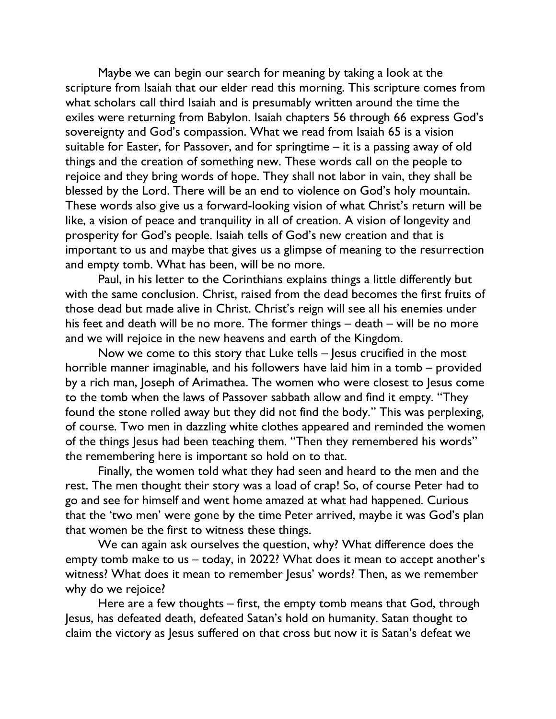Maybe we can begin our search for meaning by taking a look at the scripture from Isaiah that our elder read this morning. This scripture comes from what scholars call third Isaiah and is presumably written around the time the exiles were returning from Babylon. Isaiah chapters 56 through 66 express God's sovereignty and God's compassion. What we read from Isaiah 65 is a vision suitable for Easter, for Passover, and for springtime – it is a passing away of old things and the creation of something new. These words call on the people to rejoice and they bring words of hope. They shall not labor in vain, they shall be blessed by the Lord. There will be an end to violence on God's holy mountain. These words also give us a forward-looking vision of what Christ's return will be like, a vision of peace and tranquility in all of creation. A vision of longevity and prosperity for God's people. Isaiah tells of God's new creation and that is important to us and maybe that gives us a glimpse of meaning to the resurrection and empty tomb. What has been, will be no more.

Paul, in his letter to the Corinthians explains things a little differently but with the same conclusion. Christ, raised from the dead becomes the first fruits of those dead but made alive in Christ. Christ's reign will see all his enemies under his feet and death will be no more. The former things – death – will be no more and we will rejoice in the new heavens and earth of the Kingdom.

Now we come to this story that Luke tells – Jesus crucified in the most horrible manner imaginable, and his followers have laid him in a tomb – provided by a rich man, Joseph of Arimathea. The women who were closest to Jesus come to the tomb when the laws of Passover sabbath allow and find it empty. "They found the stone rolled away but they did not find the body." This was perplexing, of course. Two men in dazzling white clothes appeared and reminded the women of the things Jesus had been teaching them. "Then they remembered his words" the remembering here is important so hold on to that.

Finally, the women told what they had seen and heard to the men and the rest. The men thought their story was a load of crap! So, of course Peter had to go and see for himself and went home amazed at what had happened. Curious that the 'two men' were gone by the time Peter arrived, maybe it was God's plan that women be the first to witness these things.

We can again ask ourselves the question, why? What difference does the empty tomb make to us – today, in 2022? What does it mean to accept another's witness? What does it mean to remember Jesus' words? Then, as we remember why do we rejoice?

Here are a few thoughts – first, the empty tomb means that God, through Jesus, has defeated death, defeated Satan's hold on humanity. Satan thought to claim the victory as Jesus suffered on that cross but now it is Satan's defeat we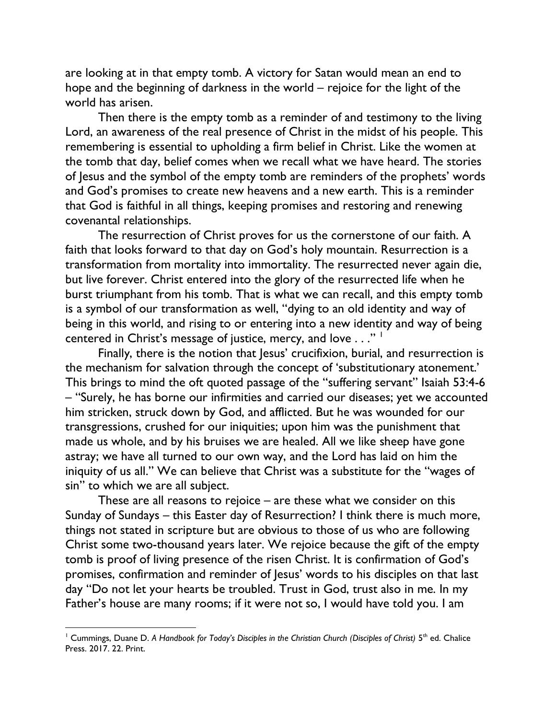are looking at in that empty tomb. A victory for Satan would mean an end to hope and the beginning of darkness in the world – rejoice for the light of the world has arisen.

Then there is the empty tomb as a reminder of and testimony to the living Lord, an awareness of the real presence of Christ in the midst of his people. This remembering is essential to upholding a firm belief in Christ. Like the women at the tomb that day, belief comes when we recall what we have heard. The stories of Jesus and the symbol of the empty tomb are reminders of the prophets' words and God's promises to create new heavens and a new earth. This is a reminder that God is faithful in all things, keeping promises and restoring and renewing covenantal relationships.

The resurrection of Christ proves for us the cornerstone of our faith. A faith that looks forward to that day on God's holy mountain. Resurrection is a transformation from mortality into immortality. The resurrected never again die, but live forever. Christ entered into the glory of the resurrected life when he burst triumphant from his tomb. That is what we can recall, and this empty tomb is a symbol of our transformation as well, "dying to an old identity and way of being in this world, and rising to or entering into a new identity and way of being centered in Christ's message of justice, mercy, and love . . ." <sup>1</sup>

Finally, there is the notion that Jesus' crucifixion, burial, and resurrection is the mechanism for salvation through the concept of 'substitutionary atonement.' This brings to mind the oft quoted passage of the "suffering servant" Isaiah 53:4-6 – "Surely, he has borne our infirmities and carried our diseases; yet we accounted him stricken, struck down by God, and afflicted. But he was wounded for our transgressions, crushed for our iniquities; upon him was the punishment that made us whole, and by his bruises we are healed. All we like sheep have gone astray; we have all turned to our own way, and the Lord has laid on him the iniquity of us all." We can believe that Christ was a substitute for the "wages of sin" to which we are all subject.

These are all reasons to rejoice – are these what we consider on this Sunday of Sundays – this Easter day of Resurrection? I think there is much more, things not stated in scripture but are obvious to those of us who are following Christ some two-thousand years later. We rejoice because the gift of the empty tomb is proof of living presence of the risen Christ. It is confirmation of God's promises, confirmation and reminder of Jesus' words to his disciples on that last day "Do not let your hearts be troubled. Trust in God, trust also in me. In my Father's house are many rooms; if it were not so, I would have told you. I am

<sup>&</sup>lt;sup>1</sup> Cummings, Duane D. A Handbook for Today's Disciples in the Christian Church (Disciples of Christ) 5<sup>th</sup> ed. Chalice Press. 2017. 22. Print.